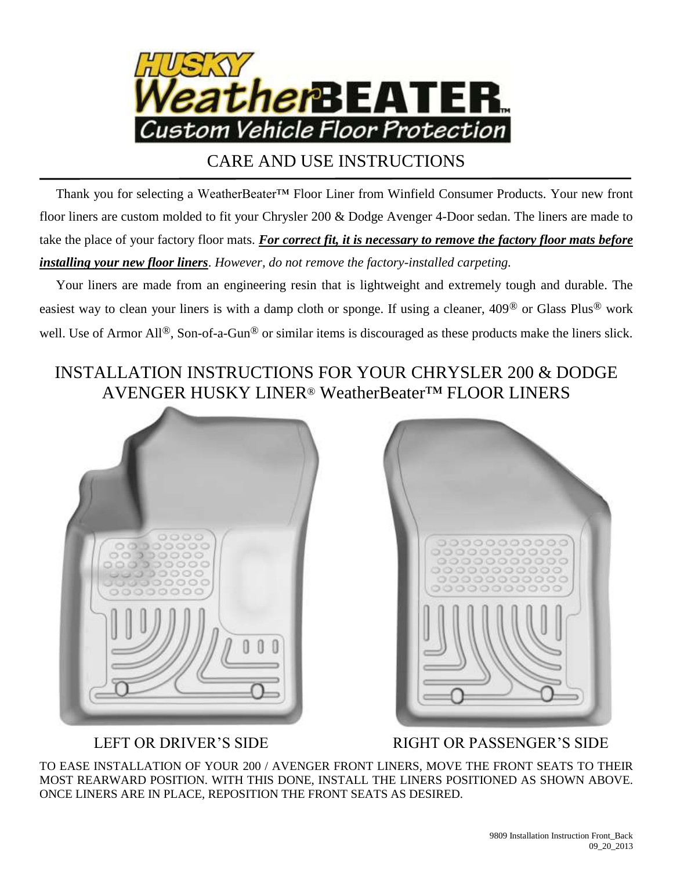

## CARE AND USE INSTRUCTIONS

 Thank you for selecting a WeatherBeater™ Floor Liner from Winfield Consumer Products. Your new front floor liners are custom molded to fit your Chrysler 200 & Dodge Avenger 4-Door sedan. The liners are made to take the place of your factory floor mats. *For correct fit, it is necessary to remove the factory floor mats before installing your new floor liners*. *However, do not remove the factory-installed carpeting.*

 Your liners are made from an engineering resin that is lightweight and extremely tough and durable. The easiest way to clean your liners is with a damp cloth or sponge. If using a cleaner, 409® or Glass Plus® work well. Use of Armor All<sup>®</sup>, Son-of-a-Gun<sup>®</sup> or similar items is discouraged as these products make the liners slick.

## INSTALLATION INSTRUCTIONS FOR YOUR CHRYSLER 200 & DODGE AVENGER HUSKY LINER® WeatherBeater™ FLOOR LINERS





LEFT OR DRIVER'S SIDE RIGHT OR PASSENGER'S SIDE

TO EASE INSTALLATION OF YOUR 200 / AVENGER FRONT LINERS, MOVE THE FRONT SEATS TO THEIR MOST REARWARD POSITION. WITH THIS DONE, INSTALL THE LINERS POSITIONED AS SHOWN ABOVE. ONCE LINERS ARE IN PLACE, REPOSITION THE FRONT SEATS AS DESIRED.